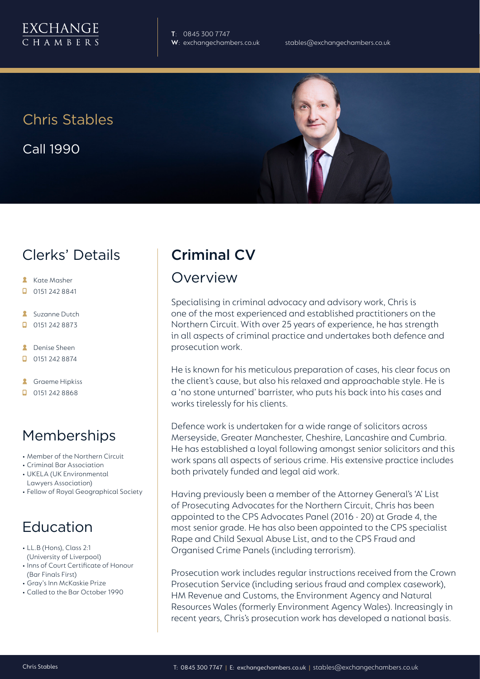

**T**: 0845 300 7747

#### Chris Stables

Call 1990



#### Clerks' Details

- **Kate Masher**
- $\Box$  0151 242 8841
- **Suzanne Dutch**
- $\Box$  0151 242 8873
- **A** Denise Sheen
- $\Box$  0151 242 8874
- **A** Graeme Hipkiss
- $\Box$  0151 242 8868

## Memberships

- Member of the Northern Circuit
- Criminal Bar Association
- UKELA (UK Environmental Lawyers Association)
- Fellow of Royal Geographical Society

## Education

- LL.B (Hons), Class 2:1 (University of Liverpool)
- Inns of Court Certificate of Honour (Bar Finals First)
- Gray's Inn McKaskie Prize
- Called to the Bar October 1990

# Criminal CV

#### Overview

Specialising in criminal advocacy and advisory work, Chris is one of the most experienced and established practitioners on the Northern Circuit. With over 25 years of experience, he has strength in all aspects of criminal practice and undertakes both defence and prosecution work.

He is known for his meticulous preparation of cases, his clear focus on the client's cause, but also his relaxed and approachable style. He is a 'no stone unturned' barrister, who puts his back into his cases and works tirelessly for his clients.

Defence work is undertaken for a wide range of solicitors across Merseyside, Greater Manchester, Cheshire, Lancashire and Cumbria. He has established a loyal following amongst senior solicitors and this work spans all aspects of serious crime. His extensive practice includes both privately funded and legal aid work.

Having previously been a member of the Attorney General's 'A' List of Prosecuting Advocates for the Northern Circuit, Chris has been appointed to the CPS Advocates Panel (2016 - 20) at Grade 4, the most senior grade. He has also been appointed to the CPS specialist Rape and Child Sexual Abuse List, and to the CPS Fraud and Organised Crime Panels (including terrorism).

Prosecution work includes regular instructions received from the Crown Prosecution Service (including serious fraud and complex casework), HM Revenue and Customs, the Environment Agency and Natural Resources Wales (formerly Environment Agency Wales). Increasingly in recent years, Chris's prosecution work has developed a national basis.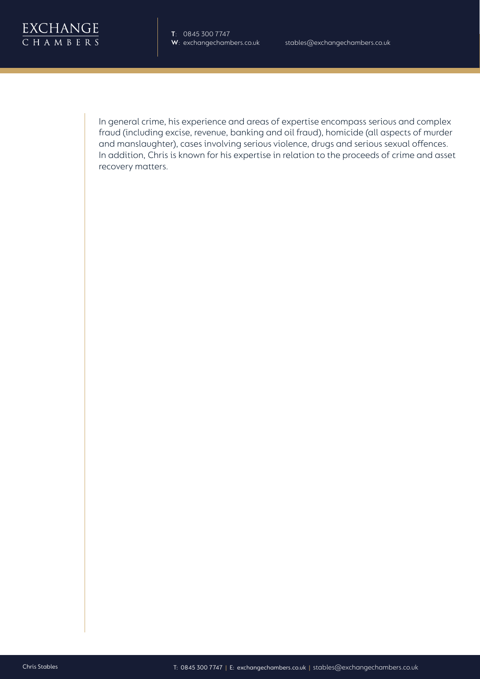

: 0845 300 7747: exchange chambers.co.uk<br>
- 0845 300 7747: exceptions.co.ukstables@exchange.co.ukstables@exchangechambers.co.uk<br>
in general crime, his experience and areas of expertise encompass serious and complex<br>
in dec fraud (including excise, revenue, banking and oil fraud), homicide (all aspects of murder and manslaughter), cases involving serious violence, drugs and serious sexual offences. In addition, Chris is known for his expertise in relation to the proceeds of crime and asset recovery matters.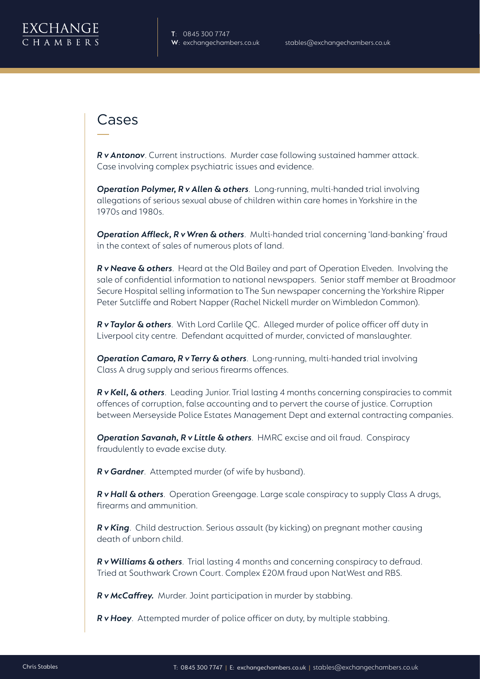

#### Cases

*R v Antonov*. Current instructions. Murder case following sustained hammer attack. Case involving complex psychiatric issues and evidence.

*Operation Polymer, R v Allen & others*. Long-running, multi-handed trial involving allegations of serious sexual abuse of children within care homes in Yorkshire in the 1970s and 1980s.

**Operation Affleck, R v Wren & others**. Multi-handed trial concerning 'land-banking' fraud in the context of sales of numerous plots of land.

*R v Neave & others*. Heard at the Old Bailey and part of Operation Elveden. Involving the sale of confidential information to national newspapers. Senior staff member at Broadmoor Secure Hospital selling information to The Sun newspaper concerning the Yorkshire Ripper Peter Sutcliffe and Robert Napper (Rachel Nickell murder on Wimbledon Common).

*R v Taylor & others*. With Lord Carlile QC. Alleged murder of police officer off duty in Liverpool city centre. Defendant acquitted of murder, convicted of manslaughter.

*Operation Camaro, R v Terry & others*. Long-running, multi-handed trial involving Class A drug supply and serious firearms offences.

*R v Kell, & others*. Leading Junior. Trial lasting 4 months concerning conspiracies to commit offences of corruption, false accounting and to pervert the course of justice. Corruption between Merseyside Police Estates Management Dept and external contracting companies.

*Operation Savanah, R v Little & others*. HMRC excise and oil fraud. Conspiracy fraudulently to evade excise duty.

*R v Gardner*. Attempted murder (of wife by husband).

*R v Hall & others*. Operation Greengage. Large scale conspiracy to supply Class A drugs, firearms and ammunition.

*R v King*. Child destruction. Serious assault (by kicking) on pregnant mother causing death of unborn child.

*R v Williams & others*. Trial lasting 4 months and concerning conspiracy to defraud. Tried at Southwark Crown Court. Complex £20M fraud upon NatWest and RBS.

*R v McCaffrey.* Murder. Joint participation in murder by stabbing.

*R v Hoey*. Attempted murder of police officer on duty, by multiple stabbing.